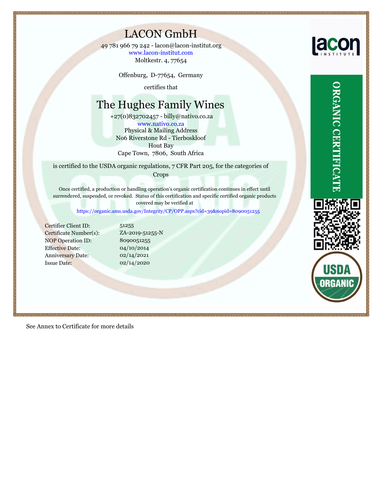# LACON GmbH

Moltkestr. 4, 77654 49 781 966 79 242 - lacon@lacon-institut.org www.lacon-institut.com

Offenburg, D-77654, Germany

certifies that

# The Hughes Family Wines

www.nativo.co.za +27(0)832702457 - billy@nativo.co.za No6 Riverstone Rd - Tierboskloof Hout Bay Cape Town, 7806, South Africa Physical & Mailing Address

is certified to the USDA organic regulations, 7 CFR Part 205, for the categories of Crops

Once certified, a production or handling operation's organic certification continues in effect until surrendered, suspended, or revoked. Status of this certification and specific certified organic products covered may be verified at

<https://organic.ams.usda.gov/Integrity/CP/OPP.aspx?cid=39&nopid=8090051255>

Certifier Client ID: Certificate Number(s): NOP Operation ID: Effective Date: Anniversary Date: Issue Date:

8090051255 04/10/2014 51255 ZA-2019-51255-N 02/14/2020 02/14/2021

See Annex to Certificate for more details